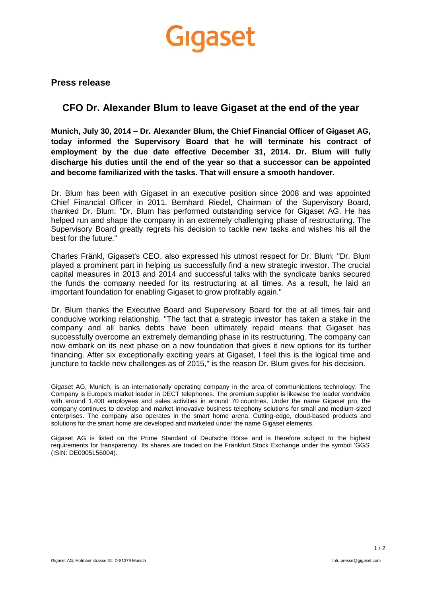## Gigaset

**Press release**

## **CFO Dr. Alexander Blum to leave Gigaset at the end of the year**

**Munich, July 30, 2014 – Dr. Alexander Blum, the Chief Financial Officer of Gigaset AG, today informed the Supervisory Board that he will terminate his contract of employment by the due date effective December 31, 2014. Dr. Blum will fully discharge his duties until the end of the year so that a successor can be appointed and become familiarized with the tasks. That will ensure a smooth handover.**

Dr. Blum has been with Gigaset in an executive position since 2008 and was appointed Chief Financial Officer in 2011. Bernhard Riedel, Chairman of the Supervisory Board, thanked Dr. Blum: "Dr. Blum has performed outstanding service for Gigaset AG. He has helped run and shape the company in an extremely challenging phase of restructuring. The Supervisory Board greatly regrets his decision to tackle new tasks and wishes his all the best for the future."

Charles Fränkl, Gigaset's CEO, also expressed his utmost respect for Dr. Blum: "Dr. Blum played a prominent part in helping us successfully find a new strategic investor. The crucial capital measures in 2013 and 2014 and successful talks with the syndicate banks secured the funds the company needed for its restructuring at all times. As a result, he laid an important foundation for enabling Gigaset to grow profitably again."

Dr. Blum thanks the Executive Board and Supervisory Board for the at all times fair and conducive working relationship. "The fact that a strategic investor has taken a stake in the company and all banks debts have been ultimately repaid means that Gigaset has successfully overcome an extremely demanding phase in its restructuring. The company can now embark on its next phase on a new foundation that gives it new options for its further financing. After six exceptionally exciting years at Gigaset, I feel this is the logical time and juncture to tackle new challenges as of 2015," is the reason Dr. Blum gives for his decision.

Gigaset AG, Munich, is an internationally operating company in the area of communications technology. The Company is Europe's market leader in DECT telephones. The premium supplier is likewise the leader worldwide with around 1,400 employees and sales activities in around 70 countries. Under the name Gigaset pro, the company continues to develop and market innovative business telephony solutions for small and medium-sized enterprises. The company also operates in the smart home arena. Cutting-edge, cloud-based products and solutions for the smart home are developed and marketed under the name Gigaset elements.

Gigaset AG is listed on the Prime Standard of Deutsche Börse and is therefore subject to the highest requirements for transparency. Its shares are traded on the Frankfurt Stock Exchange under the symbol 'GGS' (ISIN: DE0005156004).